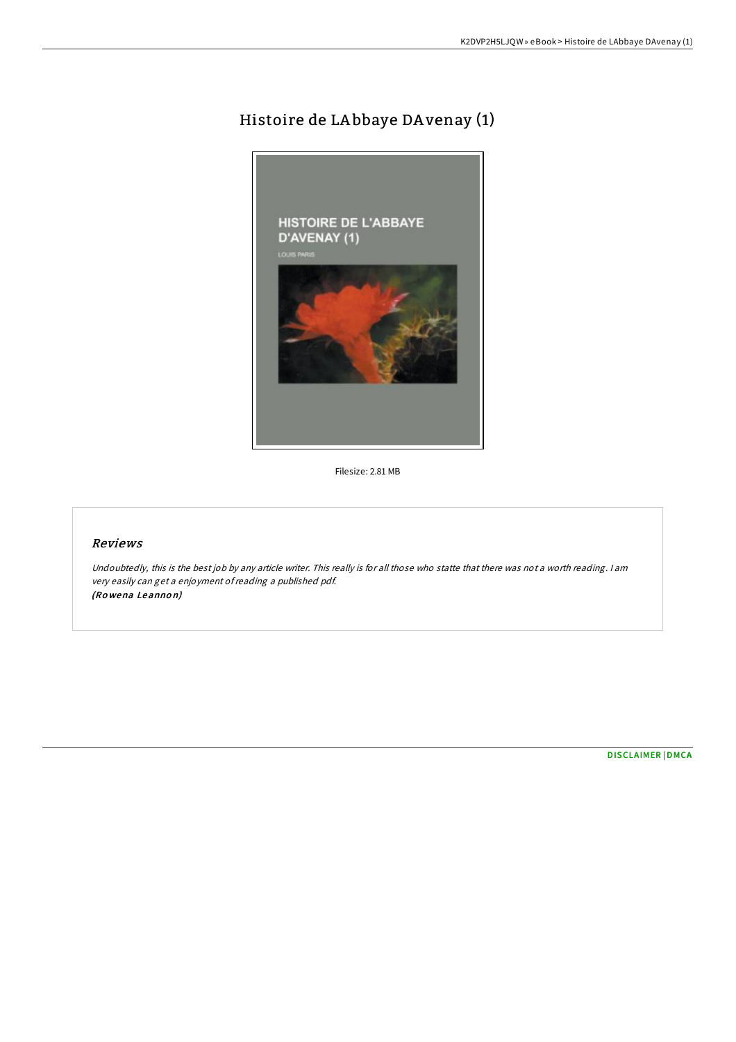## Histoire de LA bbaye DA venay (1)



Filesize: 2.81 MB

## Reviews

Undoubtedly, this is the best job by any article writer. This really is for all those who statte that there was not <sup>a</sup> worth reading. <sup>I</sup> am very easily can get <sup>a</sup> enjoyment ofreading <sup>a</sup> published pdf. (Ro wena Leanno n)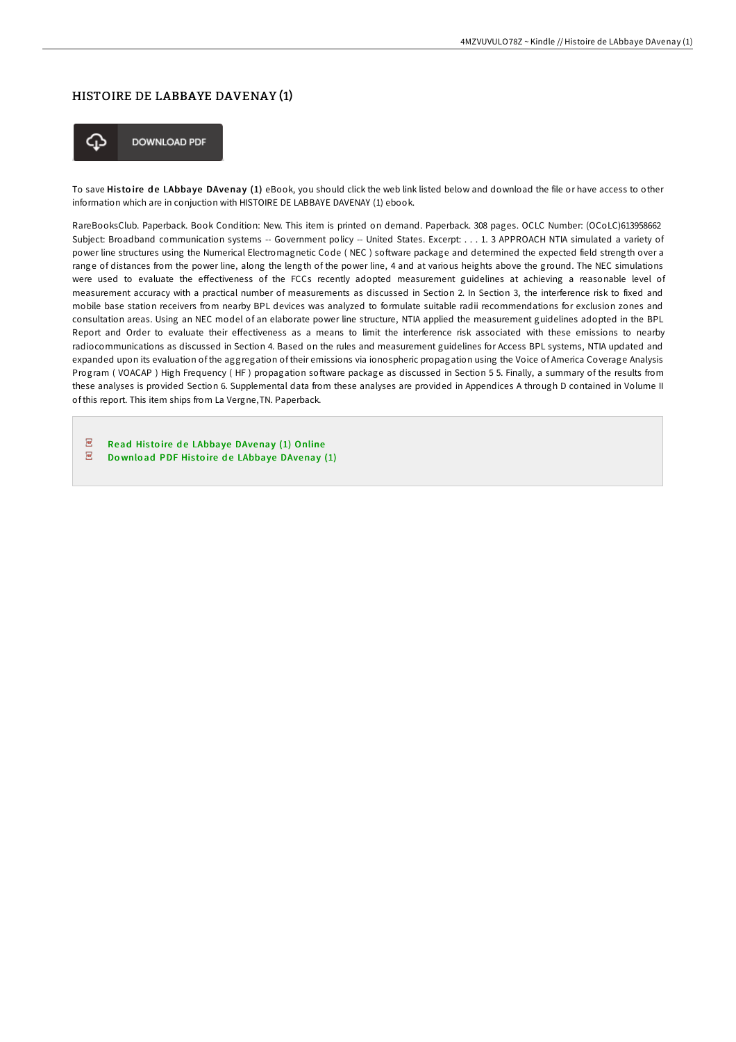## HISTOIRE DE LABBAYE DAVENAY (1)



**DOWNLOAD PDF** 

To save Histoire de LAbbaye DAvenay (1) eBook, you should click the web link listed below and download the file or have access to other information which are in conjuction with HISTOIRE DE LABBAYE DAVENAY (1) ebook.

RareBooksClub. Paperback. Book Condition: New. This item is printed on demand. Paperback. 308 pages. OCLC Number: (OCoLC)613958662 Subject: Broadband communication systems -- Government policy -- United States. Excerpt: . . . 1. 3 APPROACH NTIA simulated a variety of power line structures using the Numerical Electromagnetic Code (NEC) software package and determined the expected field strength over a range of distances from the power line, along the length of the power line, 4 and at various heights above the ground. The NEC simulations were used to evaluate the effectiveness of the FCCs recently adopted measurement guidelines at achieving a reasonable level of measurement accuracy with a practical number of measurements as discussed in Section 2. In Section 3, the interference risk to fixed and mobile base station receivers from nearby BPL devices was analyzed to formulate suitable radii recommendations for exclusion zones and consultation areas. Using an NEC model of an elaborate power line structure, NTIA applied the measurement guidelines adopted in the BPL Report and Order to evaluate their effectiveness as a means to limit the interference risk associated with these emissions to nearby radiocommunications as discussed in Section 4. Based on the rules and measurement guidelines for Access BPL systems, NTIA updated and expanded upon its evaluation of the aggregation of their emissions via ionospheric propagation using the Voice of America Coverage Analysis Program ( VOACAP ) High Frequency (HF) propagation software package as discussed in Section 5 5. Finally, a summary of the results from these analyses is provided Section 6. Supplemental data from these analyses are provided in Appendices A through D contained in Volume II of this report. This item ships from La Vergne,TN. Paperback.

 $\overline{\rho} \overline{\sigma}$ Read Histoire de LAbbaye [DAvenay](http://almighty24.tech/histoire-de-labbaye-davenay-1.html) (1) Online  $\overline{\mathbf{P}^{\mathbf{p}}}$ Download PDF Histoire de LAbbaye [DAvenay](http://almighty24.tech/histoire-de-labbaye-davenay-1.html) (1)